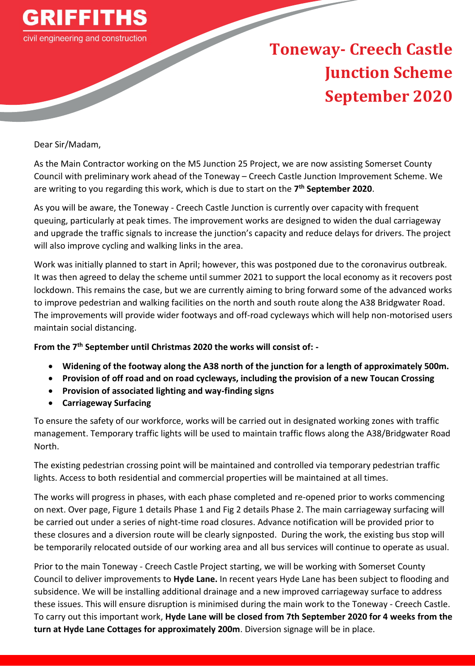

## **Toneway- Creech Castle Junction Scheme September 2020**

Dear Sir/Madam,

As the Main Contractor working on the M5 Junction 25 Project, we are now assisting Somerset County Council with preliminary work ahead of the Toneway – Creech Castle Junction Improvement Scheme. We are writing to you regarding this work, which is due to start on the **7 th September 2020**.

As you will be aware, the Toneway - Creech Castle Junction is currently over capacity with frequent queuing, particularly at peak times. The improvement works are designed to widen the dual carriageway and upgrade the traffic signals to increase the junction's capacity and reduce delays for drivers. The project will also improve cycling and walking links in the area.

Work was initially planned to start in April; however, this was postponed due to the coronavirus outbreak. It was then agreed to delay the scheme until summer 2021 to support the local economy as it recovers post lockdown. This remains the case, but we are currently aiming to bring forward some of the advanced works to improve pedestrian and walking facilities on the north and south route along the A38 Bridgwater Road. The improvements will provide wider footways and off-road cycleways which will help non-motorised users maintain social distancing.

**From the 7th September until Christmas 2020 the works will consist of: -**

- **Widening of the footway along the A38 north of the junction for a length of approximately 500m.**
- **Provision of off road and on road cycleways, including the provision of a new Toucan Crossing**
- **Provision of associated lighting and way-finding signs**
- **Carriageway Surfacing**

To ensure the safety of our workforce, works will be carried out in designated working zones with traffic management. Temporary traffic lights will be used to maintain traffic flows along the A38/Bridgwater Road North.

The existing pedestrian crossing point will be maintained and controlled via temporary pedestrian traffic lights. Access to both residential and commercial properties will be maintained at all times.

The works will progress in phases, with each phase completed and re-opened prior to works commencing on next. Over page, Figure 1 details Phase 1 and Fig 2 details Phase 2. The main carriageway surfacing will be carried out under a series of night-time road closures. Advance notification will be provided prior to these closures and a diversion route will be clearly signposted. During the work, the existing bus stop will be temporarily relocated outside of our working area and all bus services will continue to operate as usual.

Prior to the main Toneway - Creech Castle Project starting, we will be working with Somerset County Council to deliver improvements to **Hyde Lane.** In recent years Hyde Lane has been subject to flooding and subsidence. We will be installing additional drainage and a new improved carriageway surface to address these issues. This will ensure disruption is minimised during the main work to the Toneway - Creech Castle. To carry out this important work, **Hyde Lane will be closed from 7th September 2020 for 4 weeks from the turn at Hyde Lane Cottages for approximately 200m**. Diversion signage will be in place.